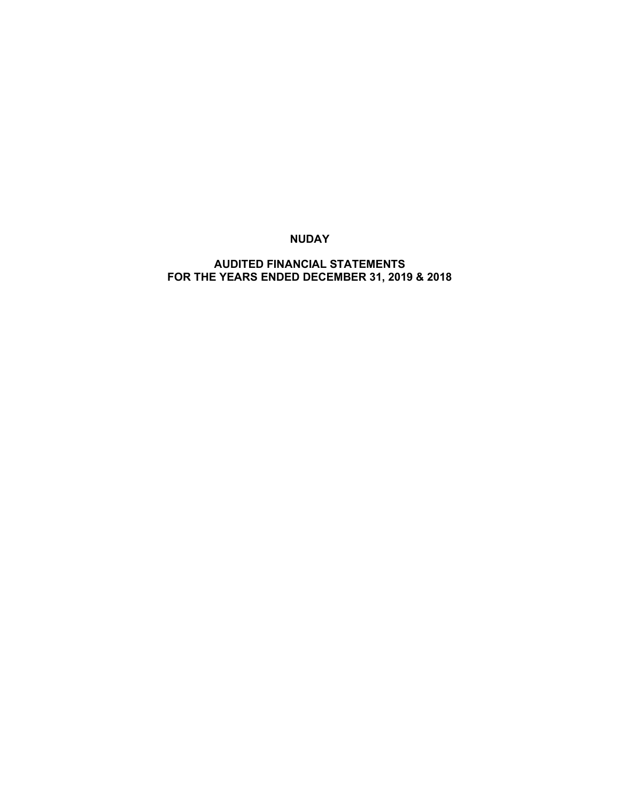# NUDAY

# AUDITED FINANCIAL STATEMENTS FOR THE YEARS ENDED DECEMBER 31, 2019 & 2018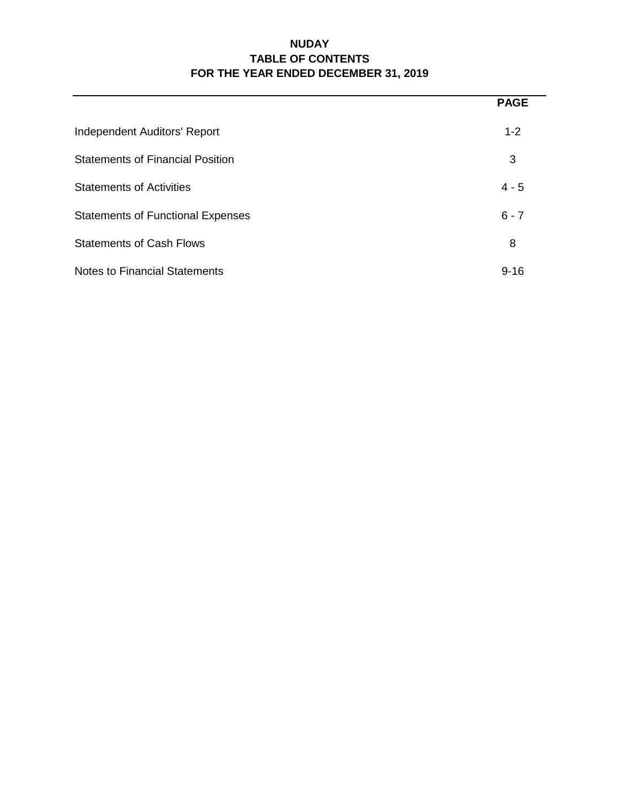# **NUDAY TABLE OF CONTENTS FOR THE YEAR ENDED DECEMBER 31, 2019**

|                                          | <b>PAGE</b> |
|------------------------------------------|-------------|
| Independent Auditors' Report             | $1 - 2$     |
| <b>Statements of Financial Position</b>  | 3           |
| <b>Statements of Activities</b>          | $4 - 5$     |
| <b>Statements of Functional Expenses</b> | $6 - 7$     |
| <b>Statements of Cash Flows</b>          | 8           |
| <b>Notes to Financial Statements</b>     | $9 - 16$    |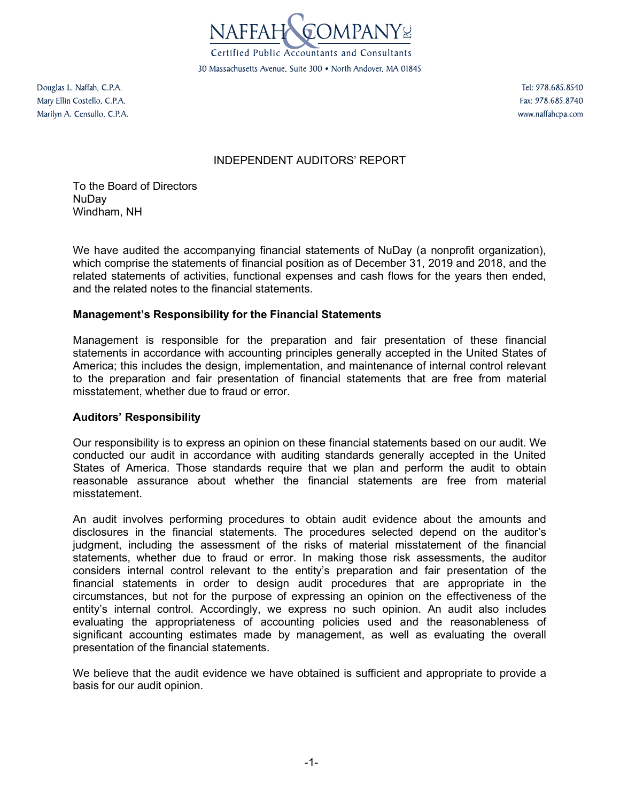

Douglas L. Naffah, C.P.A. Mary Ellin Costello, C.P.A. Marilyn A. Censullo, C.P.A.

Tel: 978.685.8540 Fax: 978.685.8740 www.naffahcpa.com

# INDEPENDENT AUDITORS' REPORT

To the Board of Directors NuDay Windham, NH

We have audited the accompanying financial statements of NuDay (a nonprofit organization), which comprise the statements of financial position as of December 31, 2019 and 2018, and the related statements of activities, functional expenses and cash flows for the years then ended, and the related notes to the financial statements.

# Management's Responsibility for the Financial Statements

Management is responsible for the preparation and fair presentation of these financial statements in accordance with accounting principles generally accepted in the United States of America; this includes the design, implementation, and maintenance of internal control relevant to the preparation and fair presentation of financial statements that are free from material misstatement, whether due to fraud or error.

# Auditors' Responsibility

Our responsibility is to express an opinion on these financial statements based on our audit. We conducted our audit in accordance with auditing standards generally accepted in the United States of America. Those standards require that we plan and perform the audit to obtain reasonable assurance about whether the financial statements are free from material misstatement.

An audit involves performing procedures to obtain audit evidence about the amounts and disclosures in the financial statements. The procedures selected depend on the auditor's judgment, including the assessment of the risks of material misstatement of the financial statements, whether due to fraud or error. In making those risk assessments, the auditor considers internal control relevant to the entity's preparation and fair presentation of the financial statements in order to design audit procedures that are appropriate in the circumstances, but not for the purpose of expressing an opinion on the effectiveness of the entity's internal control. Accordingly, we express no such opinion. An audit also includes evaluating the appropriateness of accounting policies used and the reasonableness of significant accounting estimates made by management, as well as evaluating the overall presentation of the financial statements.

We believe that the audit evidence we have obtained is sufficient and appropriate to provide a basis for our audit opinion.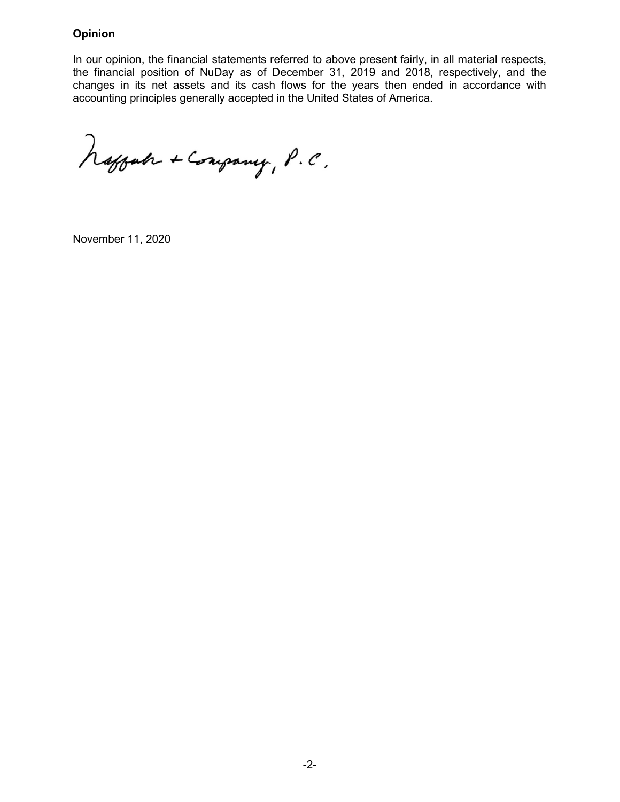# Opinion

In our opinion, the financial statements referred to above present fairly, in all material respects, the financial position of NuDay as of December 31, 2019 and 2018, respectively, and the changes in its net assets and its cash flows for the years then ended in accordance with accounting principles generally accepted in the United States of America.

Kayzak + Congany, P.C.

November 11, 2020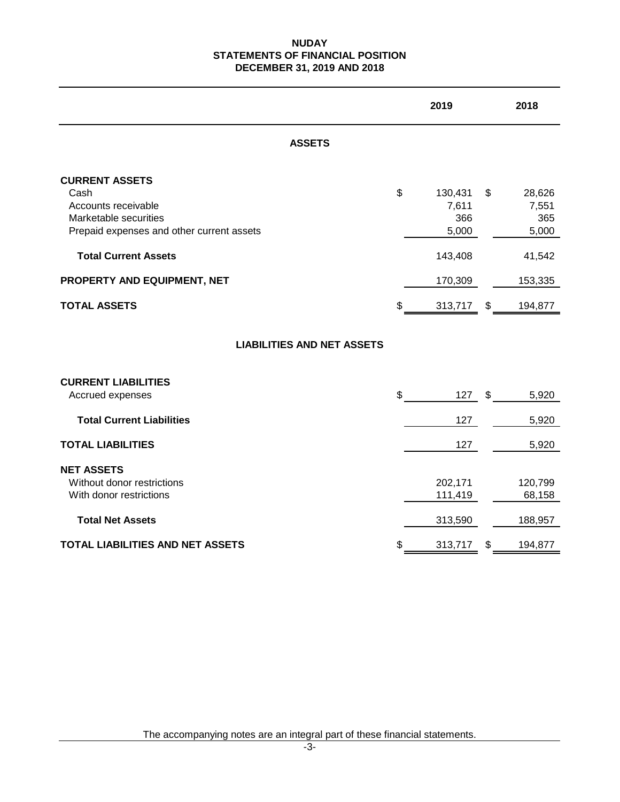#### **NUDAY STATEMENTS OF FINANCIAL POSITION DECEMBER 31, 2019 AND 2018**

|                                                                                                                                                           | 2019                                              | 2018                                            |
|-----------------------------------------------------------------------------------------------------------------------------------------------------------|---------------------------------------------------|-------------------------------------------------|
| <b>ASSETS</b>                                                                                                                                             |                                                   |                                                 |
| <b>CURRENT ASSETS</b><br>Cash<br>Accounts receivable<br>Marketable securities<br>Prepaid expenses and other current assets<br><b>Total Current Assets</b> | \$<br>130,431<br>7,611<br>366<br>5,000<br>143,408 | \$<br>28,626<br>7,551<br>365<br>5,000<br>41,542 |
| PROPERTY AND EQUIPMENT, NET                                                                                                                               | 170,309                                           | 153,335                                         |
| <b>TOTAL ASSETS</b>                                                                                                                                       | 313,717                                           | \$<br>194,877                                   |
| <b>LIABILITIES AND NET ASSETS</b>                                                                                                                         |                                                   |                                                 |
| <b>CURRENT LIABILITIES</b><br>Accrued expenses                                                                                                            | \$<br>127                                         | \$<br>5,920                                     |
| <b>Total Current Liabilities</b>                                                                                                                          | 127                                               | 5,920                                           |
| <b>TOTAL LIABILITIES</b>                                                                                                                                  | 127                                               | 5,920                                           |
| <b>NET ASSETS</b><br>Without donor restrictions<br>With donor restrictions                                                                                | 202,171<br>111,419                                | 120,799<br>68,158                               |
| <b>Total Net Assets</b>                                                                                                                                   | 313,590                                           | 188,957                                         |
| TOTAL LIABILITIES AND NET ASSETS                                                                                                                          | 313,717                                           | \$<br>194,877                                   |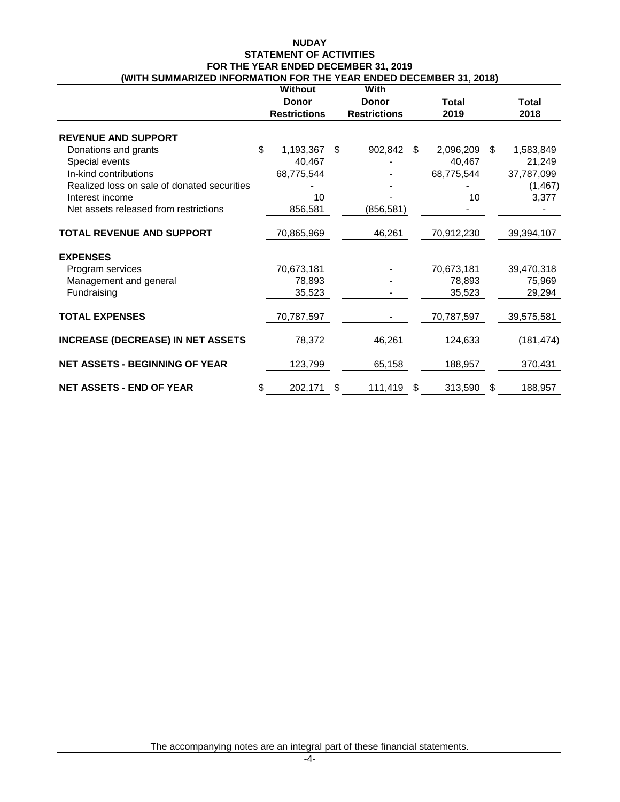#### **NUDAY STATEMENT OF ACTIVITIES FOR THE YEAR ENDED DECEMBER 31, 2019 (WITH SUMMARIZED INFORMATION FOR THE YEAR ENDED DECEMBER 31, 2018)**

|                                             | <b>Without</b>      |     | <b>With</b>         |     |              |                 |
|---------------------------------------------|---------------------|-----|---------------------|-----|--------------|-----------------|
|                                             | <b>Donor</b>        |     | <b>Donor</b>        |     | <b>Total</b> | <b>Total</b>    |
|                                             | <b>Restrictions</b> |     | <b>Restrictions</b> |     | 2019         | 2018            |
| <b>REVENUE AND SUPPORT</b>                  |                     |     |                     |     |              |                 |
| Donations and grants                        | \$<br>1,193,367     | \$  | 902,842             | \$  | 2,096,209    | \$<br>1,583,849 |
| Special events                              | 40,467              |     |                     |     | 40,467       | 21,249          |
| In-kind contributions                       | 68,775,544          |     |                     |     | 68,775,544   | 37,787,099      |
| Realized loss on sale of donated securities |                     |     |                     |     |              | (1, 467)        |
| Interest income                             | 10                  |     |                     |     | 10           | 3,377           |
| Net assets released from restrictions       | 856,581             |     | (856, 581)          |     |              |                 |
| <b>TOTAL REVENUE AND SUPPORT</b>            | 70,865,969          |     | 46,261              |     | 70,912,230   | 39,394,107      |
| <b>EXPENSES</b>                             |                     |     |                     |     |              |                 |
| Program services                            | 70,673,181          |     |                     |     | 70,673,181   | 39,470,318      |
| Management and general                      | 78,893              |     |                     |     | 78,893       | 75,969          |
| Fundraising                                 | 35,523              |     |                     |     | 35,523       | 29,294          |
| <b>TOTAL EXPENSES</b>                       | 70,787,597          |     |                     |     | 70,787,597   | 39,575,581      |
| <b>INCREASE (DECREASE) IN NET ASSETS</b>    | 78,372              |     | 46,261              |     | 124,633      | (181, 474)      |
| <b>NET ASSETS - BEGINNING OF YEAR</b>       | 123,799             |     | 65,158              |     | 188,957      | 370,431         |
| <b>NET ASSETS - END OF YEAR</b>             | \$<br>202,171       | \$. | 111,419             | \$. | 313,590      | \$<br>188,957   |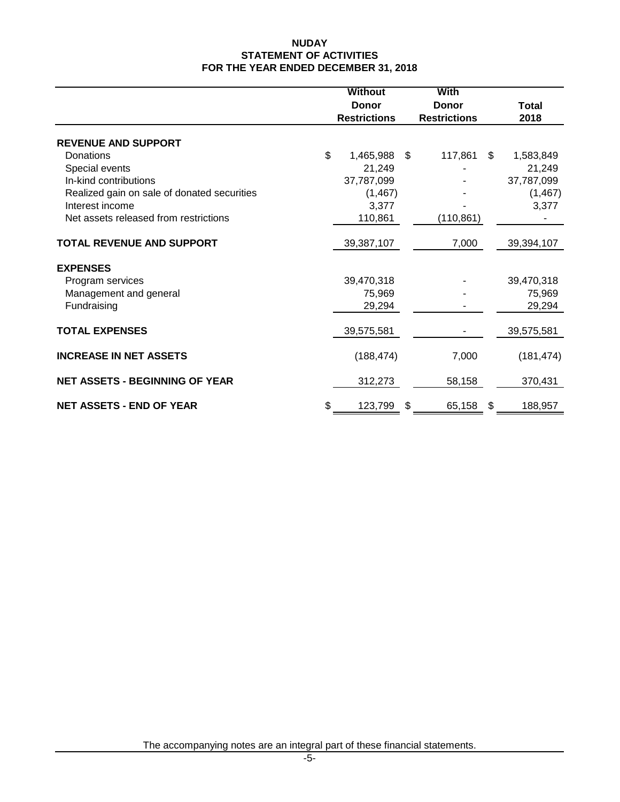### **NUDAY STATEMENT OF ACTIVITIES FOR THE YEAR ENDED DECEMBER 31, 2018**

|                                             | <b>Without</b>      | <b>With</b>         |                 |
|---------------------------------------------|---------------------|---------------------|-----------------|
|                                             | <b>Donor</b>        | <b>Donor</b>        | <b>Total</b>    |
|                                             | <b>Restrictions</b> | <b>Restrictions</b> | 2018            |
|                                             |                     |                     |                 |
| <b>REVENUE AND SUPPORT</b>                  |                     |                     |                 |
| Donations                                   | \$<br>1,465,988     | \$<br>117,861       | \$<br>1,583,849 |
| Special events                              | 21,249              |                     | 21,249          |
| In-kind contributions                       | 37,787,099          |                     | 37,787,099      |
| Realized gain on sale of donated securities | (1,467)             |                     | (1, 467)        |
| Interest income                             | 3,377               |                     | 3,377           |
| Net assets released from restrictions       | 110,861             | (110, 861)          |                 |
|                                             |                     |                     |                 |
| <b>TOTAL REVENUE AND SUPPORT</b>            | 39,387,107          | 7,000               | 39,394,107      |
|                                             |                     |                     |                 |
| <b>EXPENSES</b>                             |                     |                     |                 |
| Program services                            | 39,470,318          |                     | 39,470,318      |
| Management and general                      | 75,969              |                     | 75,969          |
| Fundraising                                 | 29,294              |                     | 29,294          |
|                                             |                     |                     |                 |
| <b>TOTAL EXPENSES</b>                       | 39,575,581          |                     | 39,575,581      |
|                                             |                     |                     |                 |
| <b>INCREASE IN NET ASSETS</b>               | (188, 474)          | 7,000               | (181, 474)      |
| <b>NET ASSETS - BEGINNING OF YEAR</b>       | 312,273             | 58,158              | 370,431         |
|                                             |                     |                     |                 |
| <b>NET ASSETS - END OF YEAR</b>             | \$<br>123,799       | \$<br>65,158        | \$<br>188,957   |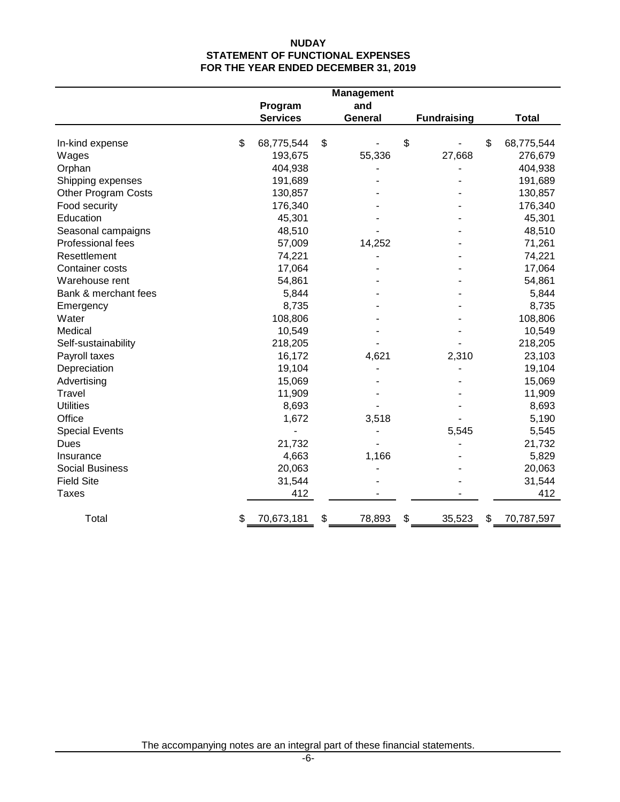### **NUDAY STATEMENT OF FUNCTIONAL EXPENSES FOR THE YEAR ENDED DECEMBER 31, 2019**

|                            |                       | <b>Management</b> |                    |                       |
|----------------------------|-----------------------|-------------------|--------------------|-----------------------|
|                            | Program               | and               |                    |                       |
|                            | <b>Services</b>       | General           | <b>Fundraising</b> | <b>Total</b>          |
|                            | \$                    | \$                | \$                 | \$                    |
| In-kind expense            | 68,775,544<br>193,675 | 55,336            | 27,668             | 68,775,544<br>276,679 |
| Wages                      |                       |                   |                    |                       |
| Orphan                     | 404,938               |                   |                    | 404,938               |
| Shipping expenses          | 191,689               |                   |                    | 191,689               |
| <b>Other Program Costs</b> | 130,857               |                   |                    | 130,857               |
| Food security              | 176,340               |                   |                    | 176,340               |
| Education                  | 45,301                |                   |                    | 45,301                |
| Seasonal campaigns         | 48,510                |                   |                    | 48,510                |
| Professional fees          | 57,009                | 14,252            |                    | 71,261                |
| Resettlement               | 74,221                |                   |                    | 74,221                |
| Container costs            | 17,064                |                   |                    | 17,064                |
| Warehouse rent             | 54,861                |                   |                    | 54,861                |
| Bank & merchant fees       | 5,844                 |                   |                    | 5,844                 |
| Emergency                  | 8,735                 |                   |                    | 8,735                 |
| Water                      | 108,806               |                   |                    | 108,806               |
| Medical                    | 10,549                |                   |                    | 10,549                |
| Self-sustainability        | 218,205               |                   |                    | 218,205               |
| Payroll taxes              | 16,172                | 4,621             | 2,310              | 23,103                |
| Depreciation               | 19,104                |                   |                    | 19,104                |
| Advertising                | 15,069                |                   |                    | 15,069                |
| Travel                     | 11,909                |                   |                    | 11,909                |
| <b>Utilities</b>           | 8,693                 |                   |                    | 8,693                 |
| Office                     | 1,672                 | 3,518             |                    | 5,190                 |
| <b>Special Events</b>      |                       |                   | 5,545              | 5,545                 |
| Dues                       | 21,732                |                   |                    | 21,732                |
| Insurance                  | 4,663                 | 1,166             |                    | 5,829                 |
| <b>Social Business</b>     | 20,063                |                   |                    | 20,063                |
| <b>Field Site</b>          | 31,544                |                   |                    | 31,544                |
| <b>Taxes</b>               | 412                   |                   |                    | 412                   |
| Total                      | \$<br>70,673,181      | \$<br>78,893      | \$<br>35,523       | \$<br>70,787,597      |

The accompanying notes are an integral part of these financial statements.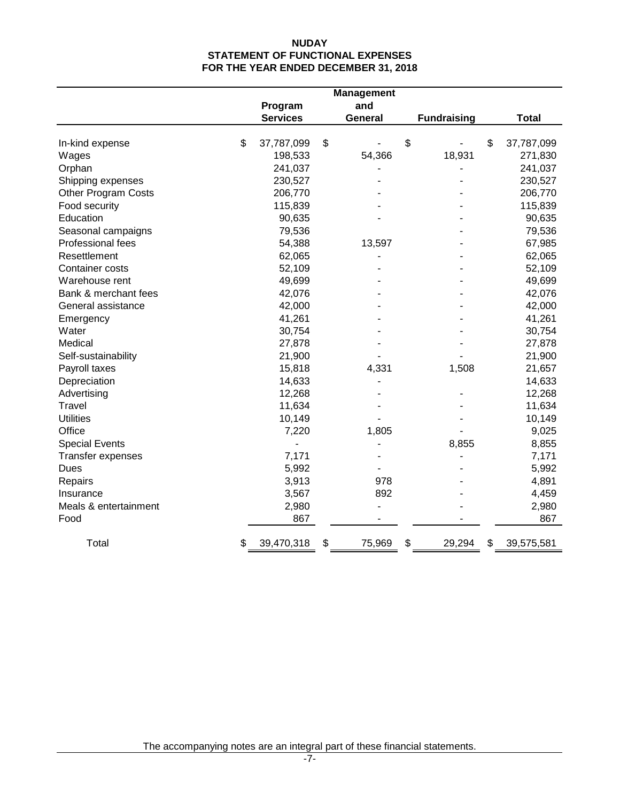### **NUDAY STATEMENT OF FUNCTIONAL EXPENSES FOR THE YEAR ENDED DECEMBER 31, 2018**

|                          |                  | <b>Management</b> |                    |              |
|--------------------------|------------------|-------------------|--------------------|--------------|
|                          | Program          | and               |                    |              |
|                          | <b>Services</b>  | General           | <b>Fundraising</b> | <b>Total</b> |
|                          | \$<br>37,787,099 | \$                | \$<br>\$           | 37,787,099   |
| In-kind expense<br>Wages | 198,533          | 54,366            | 18,931             | 271,830      |
|                          | 241,037          |                   |                    |              |
| Orphan                   |                  |                   |                    | 241,037      |
| Shipping expenses        | 230,527          |                   |                    | 230,527      |
| Other Program Costs      | 206,770          |                   |                    | 206,770      |
| Food security            | 115,839          |                   |                    | 115,839      |
| Education                | 90,635           |                   |                    | 90,635       |
| Seasonal campaigns       | 79,536           |                   |                    | 79,536       |
| Professional fees        | 54,388           | 13,597            |                    | 67,985       |
| Resettlement             | 62,065           |                   |                    | 62,065       |
| Container costs          | 52,109           |                   |                    | 52,109       |
| Warehouse rent           | 49,699           |                   |                    | 49,699       |
| Bank & merchant fees     | 42,076           |                   |                    | 42,076       |
| General assistance       | 42,000           |                   |                    | 42,000       |
| Emergency                | 41,261           |                   |                    | 41,261       |
| Water                    | 30,754           |                   |                    | 30,754       |
| Medical                  | 27,878           |                   |                    | 27,878       |
| Self-sustainability      | 21,900           |                   |                    | 21,900       |
| Payroll taxes            | 15,818           | 4,331             | 1,508              | 21,657       |
| Depreciation             | 14,633           |                   |                    | 14,633       |
| Advertising              | 12,268           |                   |                    | 12,268       |
| Travel                   | 11,634           |                   |                    | 11,634       |
| <b>Utilities</b>         | 10,149           |                   |                    | 10,149       |
| Office                   | 7,220            | 1,805             |                    | 9,025        |
| <b>Special Events</b>    |                  |                   | 8,855              | 8,855        |
| Transfer expenses        | 7,171            |                   |                    | 7,171        |
| Dues                     | 5,992            |                   |                    | 5,992        |
| Repairs                  | 3,913            | 978               |                    | 4,891        |
| Insurance                | 3,567            | 892               |                    | 4,459        |
| Meals & entertainment    | 2,980            |                   |                    | 2,980        |
| Food                     | 867              |                   |                    | 867          |
| Total                    | \$<br>39,470,318 | \$<br>75,969      | \$<br>29,294<br>\$ | 39,575,581   |

The accompanying notes are an integral part of these financial statements.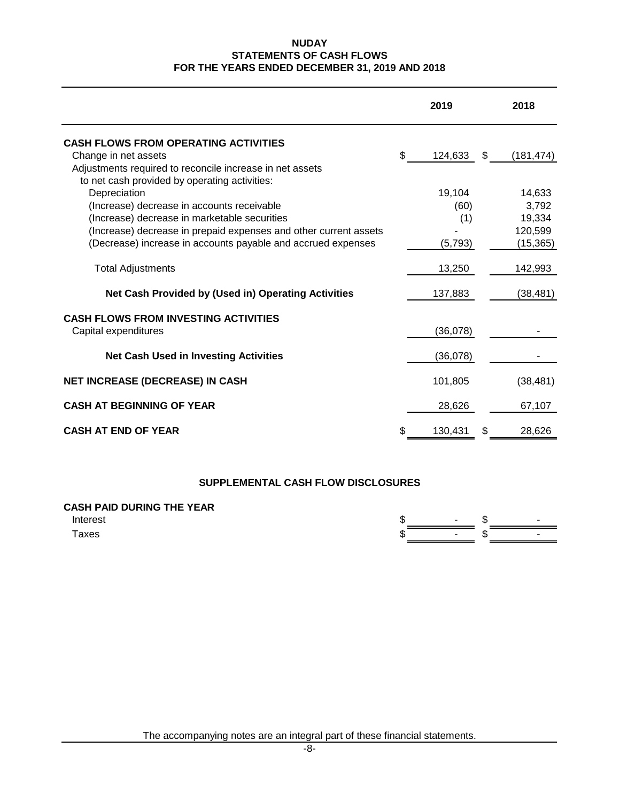#### **NUDAY STATEMENTS OF CASH FLOWS FOR THE YEARS ENDED DECEMBER 31, 2019 AND 2018**

|                                                                  | 2019                | 2018       |
|------------------------------------------------------------------|---------------------|------------|
| <b>CASH FLOWS FROM OPERATING ACTIVITIES</b>                      |                     |            |
| Change in net assets                                             | \$<br>124,633<br>S. | (181, 474) |
| Adjustments required to reconcile increase in net assets         |                     |            |
| to net cash provided by operating activities:                    |                     |            |
| Depreciation                                                     | 19,104              | 14,633     |
| (Increase) decrease in accounts receivable                       | (60)                | 3.792      |
| (Increase) decrease in marketable securities                     | (1)                 | 19,334     |
| (Increase) decrease in prepaid expenses and other current assets |                     | 120,599    |
| (Decrease) increase in accounts payable and accrued expenses     | (5, 793)            | (15, 365)  |
| <b>Total Adjustments</b>                                         | 13,250              | 142,993    |
| Net Cash Provided by (Used in) Operating Activities              | 137,883             | (38, 481)  |
| <b>CASH FLOWS FROM INVESTING ACTIVITIES</b>                      |                     |            |
| Capital expenditures                                             | (36,078)            |            |
| <b>Net Cash Used in Investing Activities</b>                     | (36,078)            |            |
| <b>NET INCREASE (DECREASE) IN CASH</b>                           | 101,805             | (38, 481)  |
| <b>CASH AT BEGINNING OF YEAR</b>                                 | 28,626              | 67,107     |
| <b>CASH AT END OF YEAR</b>                                       | 130,431<br>S        | 28,626     |

#### **SUPPLEMENTAL CASH FLOW DISCLOSURES**

# **CASH PAID DURING THE YEAR**

| ဗ၁၊ |  |  |
|-----|--|--|
| xes |  |  |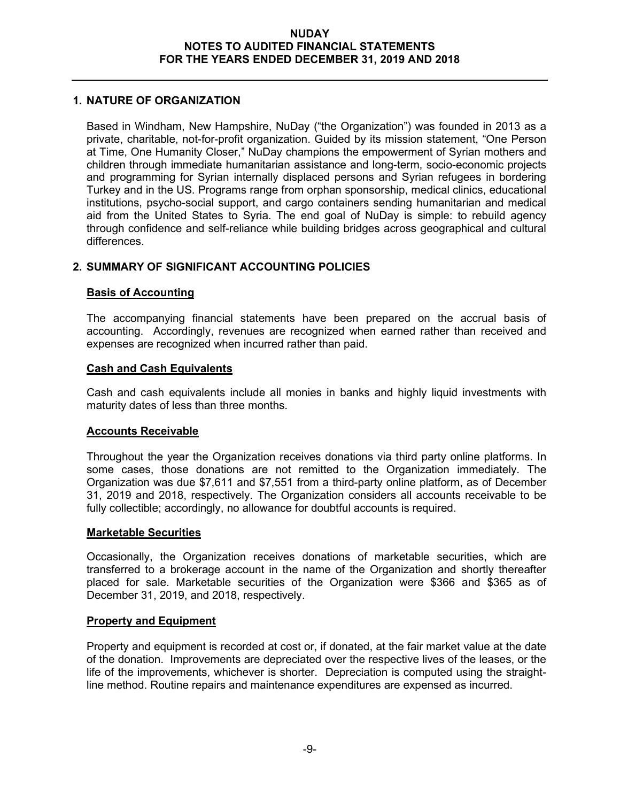### NUDAY NOTES TO AUDITED FINANCIAL STATEMENTS FOR THE YEARS ENDED DECEMBER 31, 2019 AND 2018

# 1. NATURE OF ORGANIZATION

 Based in Windham, New Hampshire, NuDay ("the Organization") was founded in 2013 as a private, charitable, not-for-profit organization. Guided by its mission statement, "One Person at Time, One Humanity Closer," NuDay champions the empowerment of Syrian mothers and children through immediate humanitarian assistance and long-term, socio-economic projects and programming for Syrian internally displaced persons and Syrian refugees in bordering Turkey and in the US. Programs range from orphan sponsorship, medical clinics, educational institutions, psycho-social support, and cargo containers sending humanitarian and medical aid from the United States to Syria. The end goal of NuDay is simple: to rebuild agency through confidence and self-reliance while building bridges across geographical and cultural differences.

# 2. SUMMARY OF SIGNIFICANT ACCOUNTING POLICIES

# Basis of Accounting

The accompanying financial statements have been prepared on the accrual basis of accounting. Accordingly, revenues are recognized when earned rather than received and expenses are recognized when incurred rather than paid.

#### Cash and Cash Equivalents

Cash and cash equivalents include all monies in banks and highly liquid investments with maturity dates of less than three months.

# Accounts Receivable

Throughout the year the Organization receives donations via third party online platforms. In some cases, those donations are not remitted to the Organization immediately. The Organization was due \$7,611 and \$7,551 from a third-party online platform, as of December 31, 2019 and 2018, respectively. The Organization considers all accounts receivable to be fully collectible; accordingly, no allowance for doubtful accounts is required.

#### Marketable Securities

Occasionally, the Organization receives donations of marketable securities, which are transferred to a brokerage account in the name of the Organization and shortly thereafter placed for sale. Marketable securities of the Organization were \$366 and \$365 as of December 31, 2019, and 2018, respectively.

# Property and Equipment

Property and equipment is recorded at cost or, if donated, at the fair market value at the date of the donation. Improvements are depreciated over the respective lives of the leases, or the life of the improvements, whichever is shorter. Depreciation is computed using the straightline method. Routine repairs and maintenance expenditures are expensed as incurred.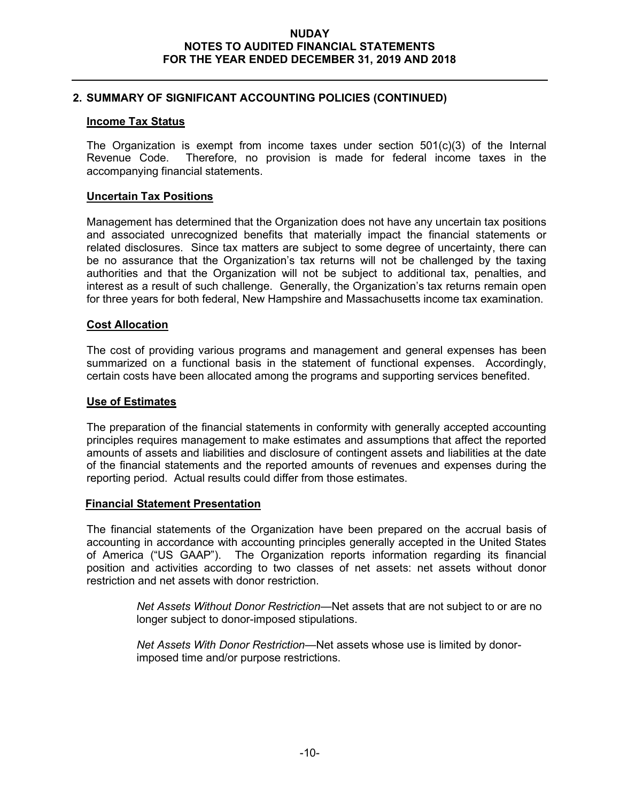#### NUDAY NOTES TO AUDITED FINANCIAL STATEMENTS FOR THE YEAR ENDED DECEMBER 31, 2019 AND 2018

### 2. SUMMARY OF SIGNIFICANT ACCOUNTING POLICIES (CONTINUED)

#### Income Tax Status

The Organization is exempt from income taxes under section 501(c)(3) of the Internal Revenue Code. Therefore, no provision is made for federal income taxes in the accompanying financial statements.

#### Uncertain Tax Positions

Management has determined that the Organization does not have any uncertain tax positions and associated unrecognized benefits that materially impact the financial statements or related disclosures. Since tax matters are subject to some degree of uncertainty, there can be no assurance that the Organization's tax returns will not be challenged by the taxing authorities and that the Organization will not be subject to additional tax, penalties, and interest as a result of such challenge. Generally, the Organization's tax returns remain open for three years for both federal, New Hampshire and Massachusetts income tax examination.

### Cost Allocation

 The cost of providing various programs and management and general expenses has been summarized on a functional basis in the statement of functional expenses. Accordingly, certain costs have been allocated among the programs and supporting services benefited.

#### Use of Estimates

The preparation of the financial statements in conformity with generally accepted accounting principles requires management to make estimates and assumptions that affect the reported amounts of assets and liabilities and disclosure of contingent assets and liabilities at the date of the financial statements and the reported amounts of revenues and expenses during the reporting period. Actual results could differ from those estimates.

#### Financial Statement Presentation

The financial statements of the Organization have been prepared on the accrual basis of accounting in accordance with accounting principles generally accepted in the United States of America ("US GAAP"). The Organization reports information regarding its financial position and activities according to two classes of net assets: net assets without donor restriction and net assets with donor restriction.

> Net Assets Without Donor Restriction—Net assets that are not subject to or are no longer subject to donor-imposed stipulations.

Net Assets With Donor Restriction—Net assets whose use is limited by donorimposed time and/or purpose restrictions.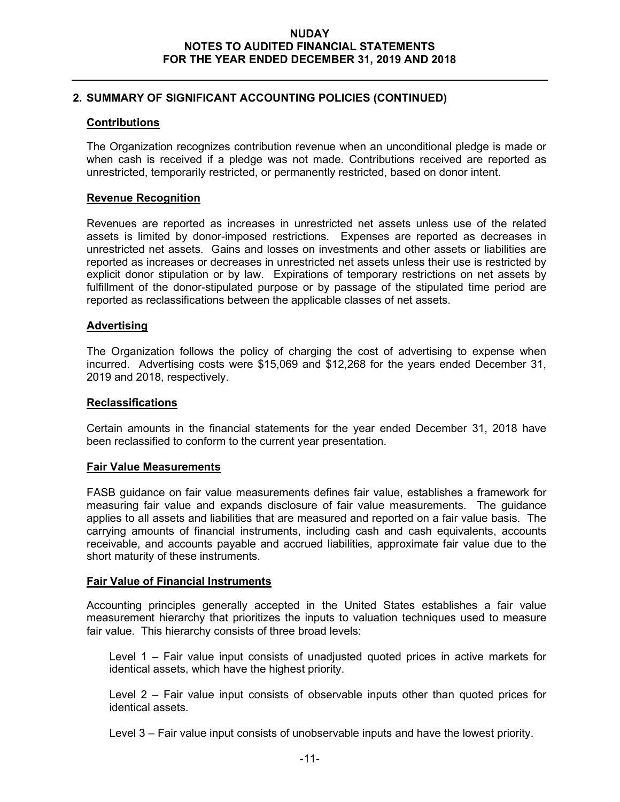#### NUDAY NOTES TO AUDITED FINANCIAL STATEMENTS FOR THE YEAR ENDED DECEMBER 31, 2019 AND 2018

# 2. SUMMARY OF SIGNIFICANT ACCOUNTING POLICIES (CONTINUED)

#### **Contributions**

The Organization recognizes contribution revenue when an unconditional pledge is made or when cash is received if a pledge was not made. Contributions received are reported as unrestricted, temporarily restricted, or permanently restricted, based on donor intent.

#### Revenue Recognition

Revenues are reported as increases in unrestricted net assets unless use of the related assets is limited by donor-imposed restrictions. Expenses are reported as decreases in unrestricted net assets. Gains and losses on investments and other assets or liabilities are reported as increases or decreases in unrestricted net assets unless their use is restricted by explicit donor stipulation or by law. Expirations of temporary restrictions on net assets by fulfillment of the donor-stipulated purpose or by passage of the stipulated time period are reported as reclassifications between the applicable classes of net assets.

#### Advertising

The Organization follows the policy of charging the cost of advertising to expense when incurred. Advertising costs were \$15,069 and \$12,268 for the years ended December 31, 2019 and 2018, respectively.

#### Reclassifications

Certain amounts in the financial statements for the year ended December 31, 2018 have been reclassified to conform to the current year presentation.

#### Fair Value Measurements

FASB guidance on fair value measurements defines fair value, establishes a framework for measuring fair value and expands disclosure of fair value measurements. The guidance applies to all assets and liabilities that are measured and reported on a fair value basis. The carrying amounts of financial instruments, including cash and cash equivalents, accounts receivable, and accounts payable and accrued liabilities, approximate fair value due to the short maturity of these instruments.

### **Fair Value of Financial Instruments**

Accounting principles generally accepted in the United States establishes a fair value measurement hierarchy that prioritizes the inputs to valuation techniques used to measure fair value. This hierarchy consists of three broad levels:

Level 1 – Fair value input consists of unadjusted quoted prices in active markets for identical assets, which have the highest priority.

Level 2 – Fair value input consists of observable inputs other than quoted prices for identical assets.

Level 3 – Fair value input consists of unobservable inputs and have the lowest priority.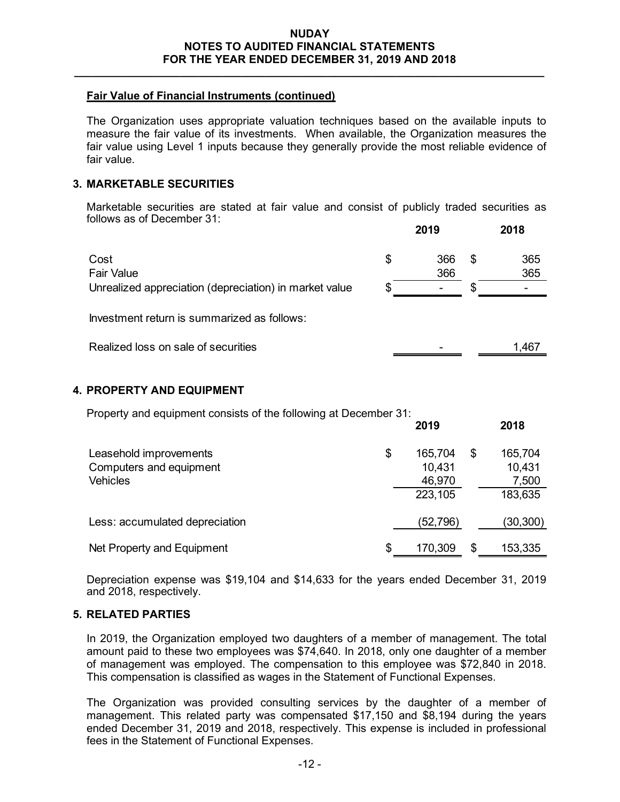#### **NUDAY** NOTES TO AUDITED FINANCIAL STATEMENTS FOR THE YEAR ENDED DECEMBER 31, 2019 AND 2018

### Fair Value of Financial Instruments (continued)

### 3. MARKETABLE SECURITIES

| <b>NUDAY</b><br><b>NOTES TO AUDITED FINANCIAL STATEMENTS</b><br>FOR THE YEAR ENDED DECEMBER 31, 2019 AND 2018                                                                                                                                                                                      |                   |                  |
|----------------------------------------------------------------------------------------------------------------------------------------------------------------------------------------------------------------------------------------------------------------------------------------------------|-------------------|------------------|
| <b>Fair Value of Financial Instruments (continued)</b>                                                                                                                                                                                                                                             |                   |                  |
| The Organization uses appropriate valuation techniques based on the available inputs to<br>measure the fair value of its investments. When available, the Organization measures the<br>fair value using Level 1 inputs because they generally provide the most reliable evidence of<br>fair value. |                   |                  |
| <b>MARKETABLE SECURITIES</b>                                                                                                                                                                                                                                                                       |                   |                  |
| Marketable securities are stated at fair value and consist of publicly traded securities as                                                                                                                                                                                                        |                   |                  |
| follows as of December 31:                                                                                                                                                                                                                                                                         | 2019              | 2018             |
| Cost                                                                                                                                                                                                                                                                                               | \$<br>366         | \$<br>365        |
| <b>Fair Value</b>                                                                                                                                                                                                                                                                                  | 366               | 365              |
| Unrealized appreciation (depreciation) in market value                                                                                                                                                                                                                                             | $\blacksquare$    | \$               |
| Investment return is summarized as follows:                                                                                                                                                                                                                                                        |                   |                  |
| Realized loss on sale of securities                                                                                                                                                                                                                                                                |                   | 1,467            |
| PROPERTY AND EQUIPMENT                                                                                                                                                                                                                                                                             |                   |                  |
| Property and equipment consists of the following at December 31:                                                                                                                                                                                                                                   | 2019              | 2018             |
| Leasehold improvements                                                                                                                                                                                                                                                                             | \$<br>165,704     | \$<br>165,704    |
| Computers and equipment                                                                                                                                                                                                                                                                            | 10,431            | 10,431           |
| Vehicles                                                                                                                                                                                                                                                                                           | 46,970<br>223,105 | 7,500<br>183,635 |
| the contract of the contract of the contract of the contract of the contract of the contract of the contract of                                                                                                                                                                                    | (0.000)           | (0.0000)         |

# 4. PROPERTY AND EQUIPMENT

|                                                                      | 2019                                         | 2018                                        |  |
|----------------------------------------------------------------------|----------------------------------------------|---------------------------------------------|--|
| Leasehold improvements<br>Computers and equipment<br><b>Vehicles</b> | \$<br>165,704<br>10,431<br>46,970<br>223,105 | \$<br>165,704<br>10,431<br>7,500<br>183,635 |  |
| Less: accumulated depreciation                                       | (52, 796)                                    | (30, 300)                                   |  |
| Net Property and Equipment                                           | 170,309                                      | 153,335                                     |  |

Depreciation expense was \$19,104 and \$14,633 for the years ended December 31, 2019 and 2018, respectively.

#### 5. RELATED PARTIES

In 2019, the Organization employed two daughters of a member of management. The total amount paid to these two employees was \$74,640. In 2018, only one daughter of a member of management was employed. The compensation to this employee was \$72,840 in 2018. This compensation is classified as wages in the Statement of Functional Expenses.

The Organization was provided consulting services by the daughter of a member of management. This related party was compensated \$17,150 and \$8,194 during the years ended December 31, 2019 and 2018, respectively. This expense is included in professional fees in the Statement of Functional Expenses.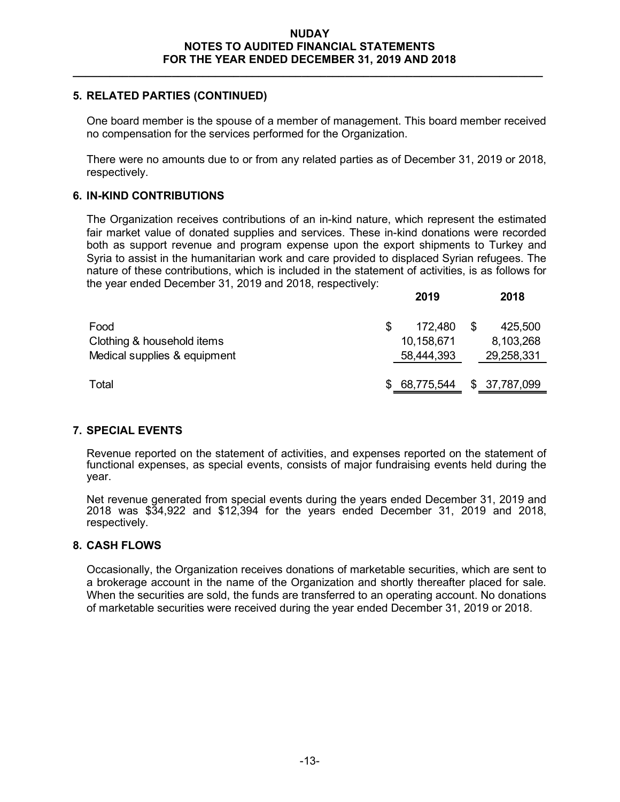# 5. RELATED PARTIES (CONTINUED)

# 6. IN-KIND CONTRIBUTIONS

| <b>RELATED PARTIES (CONTINUED)</b>                                                                                                                                                                                                                                                                                                                                                                                                                                                                                                                |                                                          |                                    |
|---------------------------------------------------------------------------------------------------------------------------------------------------------------------------------------------------------------------------------------------------------------------------------------------------------------------------------------------------------------------------------------------------------------------------------------------------------------------------------------------------------------------------------------------------|----------------------------------------------------------|------------------------------------|
| One board member is the spouse of a member of management. This board member received<br>no compensation for the services performed for the Organization.                                                                                                                                                                                                                                                                                                                                                                                          |                                                          |                                    |
| There were no amounts due to or from any related parties as of December 31, 2019 or 2018,<br>respectively.                                                                                                                                                                                                                                                                                                                                                                                                                                        |                                                          |                                    |
| <b>IN-KIND CONTRIBUTIONS</b>                                                                                                                                                                                                                                                                                                                                                                                                                                                                                                                      |                                                          |                                    |
| The Organization receives contributions of an in-kind nature, which represent the estimated<br>fair market value of donated supplies and services. These in-kind donations were recorded<br>both as support revenue and program expense upon the export shipments to Turkey and<br>Syria to assist in the humanitarian work and care provided to displaced Syrian refugees. The<br>nature of these contributions, which is included in the statement of activities, is as follows for<br>the year ended December 31, 2019 and 2018, respectively: | 2019                                                     | 2018                               |
| Food<br>Clothing & household items<br>Medical supplies & equipment                                                                                                                                                                                                                                                                                                                                                                                                                                                                                | $\mathfrak{S}$<br>172,480 \$<br>10,158,671<br>58,444,393 | 425,500<br>8,103,268<br>29,258,331 |
| Total                                                                                                                                                                                                                                                                                                                                                                                                                                                                                                                                             | \$ 68,775,544                                            | \$ 37,787,099                      |
| <b>SPECIAL EVENTS</b>                                                                                                                                                                                                                                                                                                                                                                                                                                                                                                                             |                                                          |                                    |
|                                                                                                                                                                                                                                                                                                                                                                                                                                                                                                                                                   |                                                          |                                    |

# 7. SPECIAL EVENTS

Revenue reported on the statement of activities, and expenses reported on the statement of functional expenses, as special events, consists of major fundraising events held during the year.

Net revenue generated from special events during the years ended December 31, 2019 and 2018 was \$34,922 and \$12,394 for the years ended December 31, 2019 and 2018, respectively.

# 8. CASH FLOWS

Occasionally, the Organization receives donations of marketable securities, which are sent to a brokerage account in the name of the Organization and shortly thereafter placed for sale. When the securities are sold, the funds are transferred to an operating account. No donations of marketable securities were received during the year ended December 31, 2019 or 2018.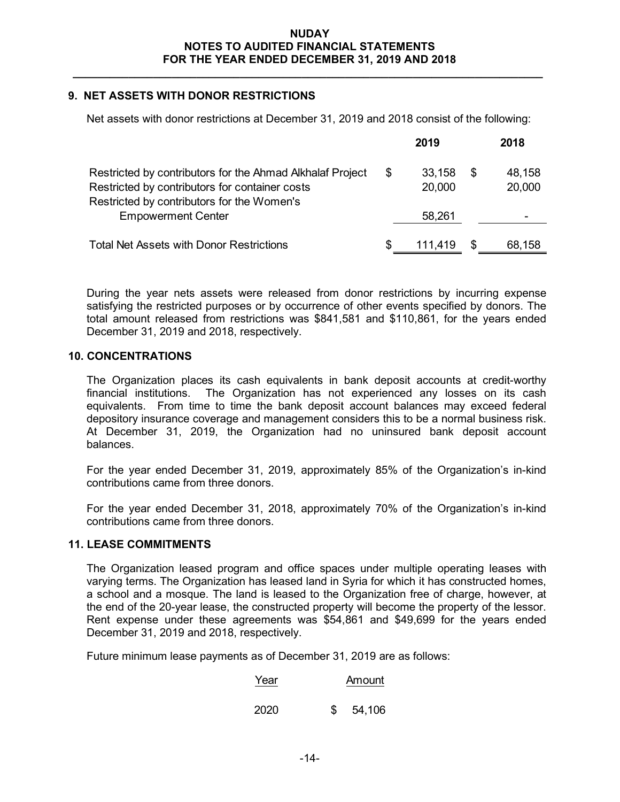#### NUDAY NOTES TO AUDITED FINANCIAL STATEMENTS FOR THE YEAR ENDED DECEMBER 31, 2019 AND 2018

# 9. NET ASSETS WITH DONOR RESTRICTIONS

| <b>IET ASSETS WITH DONOR RESTRICTIONS</b>                                                                                                                 |                        |                        |
|-----------------------------------------------------------------------------------------------------------------------------------------------------------|------------------------|------------------------|
| Net assets with donor restrictions at December 31, 2019 and 2018 consist of the following:                                                                |                        |                        |
|                                                                                                                                                           | 2019                   | 2018                   |
|                                                                                                                                                           |                        |                        |
| Restricted by contributors for the Ahmad Alkhalaf Project<br>Restricted by contributors for container costs<br>Restricted by contributors for the Women's | \$<br>33,158<br>20,000 | \$<br>48,158<br>20,000 |
| <b>Empowerment Center</b>                                                                                                                                 | 58,261                 |                        |

During the year nets assets were released from donor restrictions by incurring expense satisfying the restricted purposes or by occurrence of other events specified by donors. The total amount released from restrictions was \$841,581 and \$110,861, for the years ended December 31, 2019 and 2018, respectively.

#### 10. CONCENTRATIONS

The Organization places its cash equivalents in bank deposit accounts at credit-worthy financial institutions. The Organization has not experienced any losses on its cash equivalents. From time to time the bank deposit account balances may exceed federal depository insurance coverage and management considers this to be a normal business risk. At December 31, 2019, the Organization had no uninsured bank deposit account balances.

For the year ended December 31, 2019, approximately 85% of the Organization's in-kind contributions came from three donors.

For the year ended December 31, 2018, approximately 70% of the Organization's in-kind contributions came from three donors.

#### 11. LEASE COMMITMENTS

The Organization leased program and office spaces under multiple operating leases with varying terms. The Organization has leased land in Syria for which it has constructed homes, a school and a mosque. The land is leased to the Organization free of charge, however, at the end of the 20-year lease, the constructed property will become the property of the lessor. Rent expense under these agreements was \$54,861 and \$49,699 for the years ended December 31, 2019 and 2018, respectively. 1, 2019, approximately 85% of the Organization's in-kind<br>
1, 2018, approximately 70% of the Organization's in-kind<br>
1, 2018, approximately 70% of the Organization's in-kind<br>
1 is leased land in Syria for which it has const

Future minimum lease payments as of December 31, 2019 are as follows:

| Year | Amount |  |
|------|--------|--|
|      |        |  |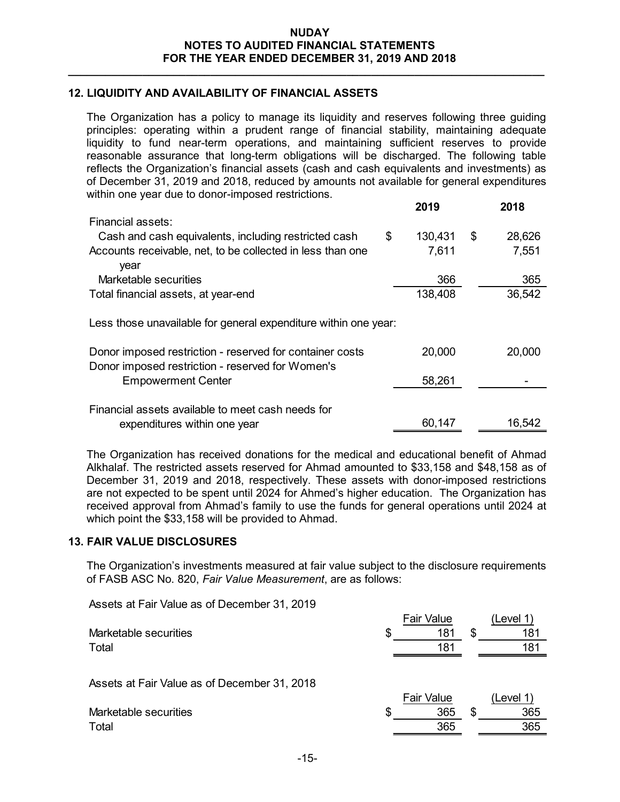#### **NUDAY** NOTES TO AUDITED FINANCIAL STATEMENTS FOR THE YEAR ENDED DECEMBER 31, 2019 AND 2018

### 12. LIQUIDITY AND AVAILABILITY OF FINANCIAL ASSETS

| <b>NUDAY</b><br>NOTES TO AUDITED FINANCIAL STATEMENTS<br>FOR THE YEAR ENDED DECEMBER 31, 2019 AND 2018                                                                                                                                                                                                                                                                                                                                                                                                                                                                                                                        |         |              |
|-------------------------------------------------------------------------------------------------------------------------------------------------------------------------------------------------------------------------------------------------------------------------------------------------------------------------------------------------------------------------------------------------------------------------------------------------------------------------------------------------------------------------------------------------------------------------------------------------------------------------------|---------|--------------|
| <b>LIQUIDITY AND AVAILABILITY OF FINANCIAL ASSETS</b>                                                                                                                                                                                                                                                                                                                                                                                                                                                                                                                                                                         |         |              |
| The Organization has a policy to manage its liquidity and reserves following three guiding<br>principles: operating within a prudent range of financial stability, maintaining adequate<br>liquidity to fund near-term operations, and maintaining sufficient reserves to provide<br>reasonable assurance that long-term obligations will be discharged. The following table<br>reflects the Organization's financial assets (cash and cash equivalents and investments) as<br>of December 31, 2019 and 2018, reduced by amounts not available for general expenditures<br>within one year due to donor-imposed restrictions. | 2019    | 2018         |
| Financial assets:                                                                                                                                                                                                                                                                                                                                                                                                                                                                                                                                                                                                             |         |              |
| Cash and cash equivalents, including restricted cash<br>\$                                                                                                                                                                                                                                                                                                                                                                                                                                                                                                                                                                    | 130,431 | \$<br>28,626 |
| Accounts receivable, net, to be collected in less than one<br>year                                                                                                                                                                                                                                                                                                                                                                                                                                                                                                                                                            | 7,611   | 7,551        |
| Marketable securities                                                                                                                                                                                                                                                                                                                                                                                                                                                                                                                                                                                                         | 366     | 365          |
| Total financial assets, at year-end                                                                                                                                                                                                                                                                                                                                                                                                                                                                                                                                                                                           | 138,408 | 36,542       |
| Less those unavailable for general expenditure within one year:                                                                                                                                                                                                                                                                                                                                                                                                                                                                                                                                                               |         |              |
| Donor imposed restriction - reserved for container costs<br>Donor imposed restriction - reserved for Women's                                                                                                                                                                                                                                                                                                                                                                                                                                                                                                                  | 20,000  | 20,000       |
| <b>Empowerment Center</b>                                                                                                                                                                                                                                                                                                                                                                                                                                                                                                                                                                                                     | 58,261  |              |
| Financial assets available to meet cash needs for                                                                                                                                                                                                                                                                                                                                                                                                                                                                                                                                                                             |         |              |
| expenditures within one year                                                                                                                                                                                                                                                                                                                                                                                                                                                                                                                                                                                                  | 60,147  | 16,542       |

### 13. FAIR VALUE DISCLOSURES

| <b>DUIDE IMPOSCATOSUIDUOIT TOSCI VOLTOI VYOMICHS</b><br><b>Empowerment Center</b>                                                                                                                                                                                                                                                                                                                                                                                                                                                    | 58,261                                |                         |
|--------------------------------------------------------------------------------------------------------------------------------------------------------------------------------------------------------------------------------------------------------------------------------------------------------------------------------------------------------------------------------------------------------------------------------------------------------------------------------------------------------------------------------------|---------------------------------------|-------------------------|
| Financial assets available to meet cash needs for<br>expenditures within one year                                                                                                                                                                                                                                                                                                                                                                                                                                                    | 60,147                                | 16,542                  |
| The Organization has received donations for the medical and educational benefit of Ahmad<br>Alkhalaf. The restricted assets reserved for Ahmad amounted to \$33,158 and \$48,158 as of<br>December 31, 2019 and 2018, respectively. These assets with donor-imposed restrictions<br>are not expected to be spent until 2024 for Ahmed's higher education. The Organization has<br>received approval from Ahmad's family to use the funds for general operations until 2024 at<br>which point the \$33,158 will be provided to Ahmad. |                                       |                         |
| <b>FAIR VALUE DISCLOSURES</b>                                                                                                                                                                                                                                                                                                                                                                                                                                                                                                        |                                       |                         |
| The Organization's investments measured at fair value subject to the disclosure requirements<br>of FASB ASC No. 820, Fair Value Measurement, are as follows:                                                                                                                                                                                                                                                                                                                                                                         |                                       |                         |
| Assets at Fair Value as of December 31, 2019                                                                                                                                                                                                                                                                                                                                                                                                                                                                                         |                                       |                         |
| Marketable securities<br>Total                                                                                                                                                                                                                                                                                                                                                                                                                                                                                                       | Fair Value<br>181<br>\$<br>181        | (Level 1)<br>181<br>181 |
| Assets at Fair Value as of December 31, 2018                                                                                                                                                                                                                                                                                                                                                                                                                                                                                         |                                       |                         |
| Marketable securities<br>Total                                                                                                                                                                                                                                                                                                                                                                                                                                                                                                       | <b>Fair Value</b><br>365<br>\$<br>365 | (Level 1)<br>365<br>365 |
| $-15-$                                                                                                                                                                                                                                                                                                                                                                                                                                                                                                                               |                                       |                         |
|                                                                                                                                                                                                                                                                                                                                                                                                                                                                                                                                      |                                       |                         |